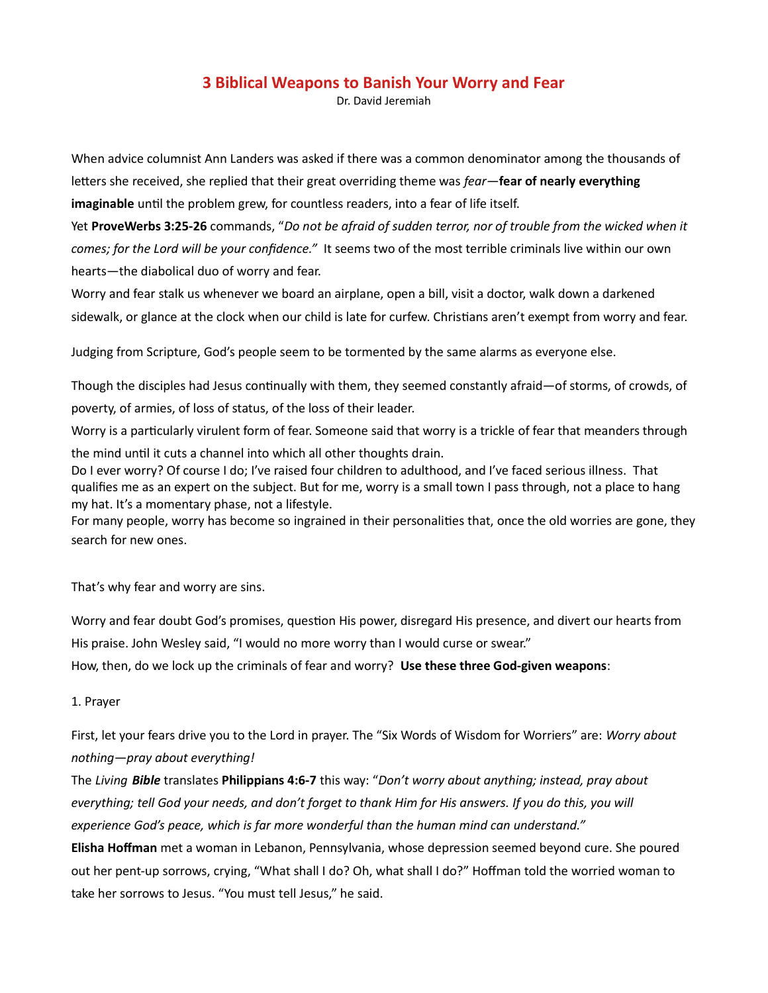# 3 Biblical Weapons to Banish Your Worry and Fear

Dr. David Jeremiah

When advice columnist Ann Landers was asked if there was a common denominator among the thousands of letters she received, she replied that their great overriding theme was fear—fear of nearly everything imaginable until the problem grew, for countless readers, into a fear of life itself.

Yet ProveWerbs 3:25-26 commands, "Do not be afraid of sudden terror, nor of trouble from the wicked when it comes; for the Lord will be your confidence." It seems two of the most terrible criminals live within our own hearts—the diabolical duo of worry and fear.

Worry and fear stalk us whenever we board an airplane, open a bill, visit a doctor, walk down a darkened sidewalk, or glance at the clock when our child is late for curfew. Christians aren't exempt from worry and fear.

Judging from Scripture, God's people seem to be tormented by the same alarms as everyone else.

Though the disciples had Jesus continually with them, they seemed constantly afraid—of storms, of crowds, of poverty, of armies, of loss of status, of the loss of their leader.

Worry is a particularly virulent form of fear. Someone said that worry is a trickle of fear that meanders through the mind until it cuts a channel into which all other thoughts drain.

Do I ever worry? Of course I do; I've raised four children to adulthood, and I've faced serious illness. That qualifies me as an expert on the subject. But for me, worry is a small town I pass through, not a place to hang my hat. It's a momentary phase, not a lifestyle.

For many people, worry has become so ingrained in their personalities that, once the old worries are gone, they search for new ones.

That's why fear and worry are sins.

Worry and fear doubt God's promises, question His power, disregard His presence, and divert our hearts from His praise. John Wesley said, "I would no more worry than I would curse or swear." How, then, do we lock up the criminals of fear and worry? Use these three God-given weapons:

#### 1. Prayer

First, let your fears drive you to the Lord in prayer. The "Six Words of Wisdom for Worriers" are: Worry about nothing—pray about everything!

The Living Bible translates Philippians 4:6-7 this way: "Don't worry about anything; instead, pray about everything; tell God your needs, and don't forget to thank Him for His answers. If you do this, you will experience God's peace, which is far more wonderful than the human mind can understand."

Elisha Hoffman met a woman in Lebanon, Pennsylvania, whose depression seemed beyond cure. She poured out her pent-up sorrows, crying, "What shall I do? Oh, what shall I do?" Hoffman told the worried woman to take her sorrows to Jesus. "You must tell Jesus," he said.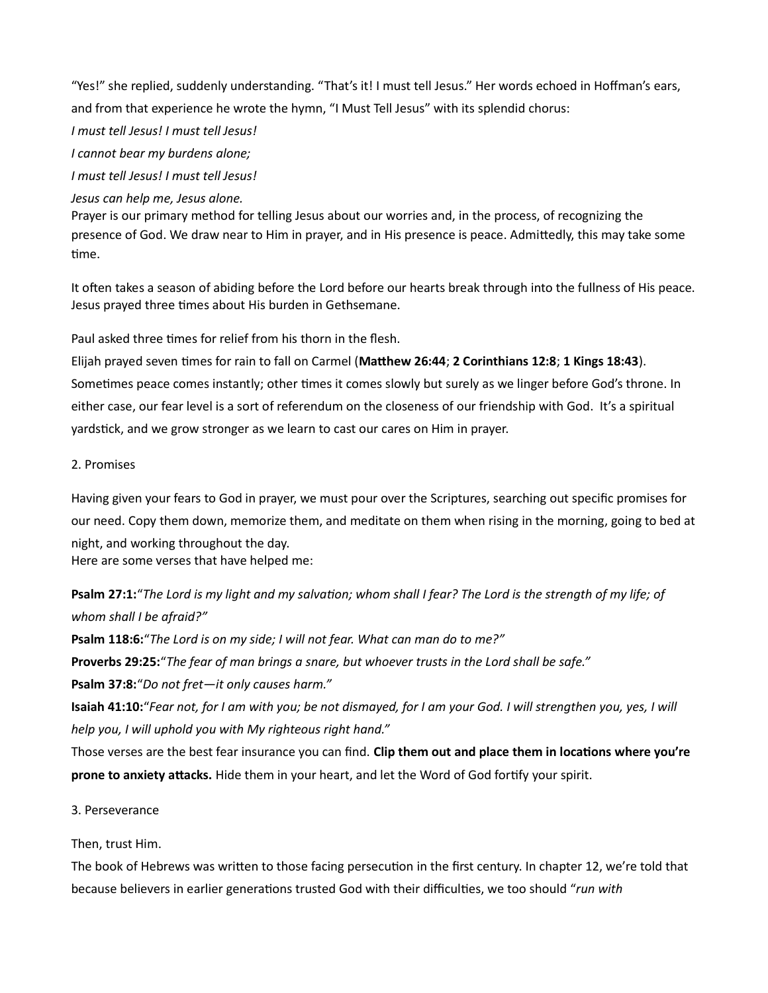"Yes!" she replied, suddenly understanding. "That's it! I must tell Jesus." Her words echoed in Hoffman's ears, and from that experience he wrote the hymn, "I Must Tell Jesus" with its splendid chorus:

I must tell Jesus! I must tell Jesus!

I cannot bear my burdens alone;

I must tell Jesus! I must tell Jesus!

### Jesus can help me, Jesus alone.

Prayer is our primary method for telling Jesus about our worries and, in the process, of recognizing the presence of God. We draw near to Him in prayer, and in His presence is peace. Admittedly, this may take some time.

It often takes a season of abiding before the Lord before our hearts break through into the fullness of His peace. Jesus prayed three times about His burden in Gethsemane.

Paul asked three times for relief from his thorn in the flesh.

Elijah prayed seven times for rain to fall on Carmel (Matthew 26:44; 2 Corinthians 12:8; 1 Kings 18:43). Sometimes peace comes instantly; other times it comes slowly but surely as we linger before God's throne. In either case, our fear level is a sort of referendum on the closeness of our friendship with God. It's a spiritual yardstick, and we grow stronger as we learn to cast our cares on Him in prayer.

## 2. Promises

Having given your fears to God in prayer, we must pour over the Scriptures, searching out specific promises for our need. Copy them down, memorize them, and meditate on them when rising in the morning, going to bed at night, and working throughout the day.

Here are some verses that have helped me:

Psalm 27:1: "The Lord is my light and my salvation; whom shall I fear? The Lord is the strength of my life; of whom shall I be afraid?"

Psalm 118:6: "The Lord is on my side; I will not fear. What can man do to me?"

Proverbs 29:25:"The fear of man brings a snare, but whoever trusts in the Lord shall be safe."

Psalm 37:8:"Do not fret—it only causes harm."

Isaiah 41:10:"Fear not, for I am with you; be not dismayed, for I am your God. I will strengthen you, yes, I will help you, I will uphold you with My righteous right hand."

Those verses are the best fear insurance you can find. Clip them out and place them in locations where you're prone to anxiety attacks. Hide them in your heart, and let the Word of God fortify your spirit.

### 3. Perseverance

Then, trust Him.

The book of Hebrews was written to those facing persecution in the first century. In chapter 12, we're told that because believers in earlier generations trusted God with their difficulties, we too should "run with